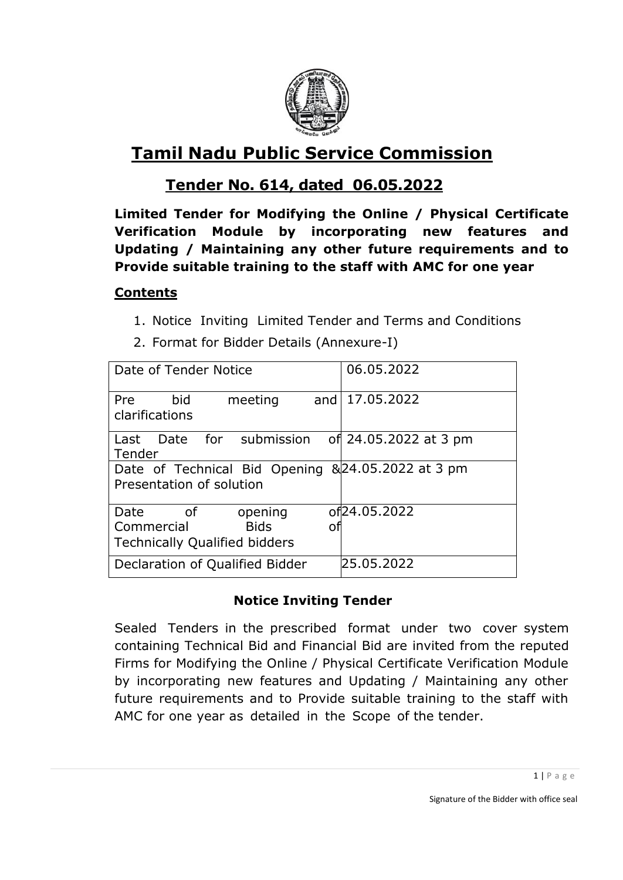

# **Tamil Nadu Public Service Commission**

## **Tender No. 614, dated 06.05.2022**

**Limited Tender for Modifying the Online / Physical Certificate Verification Module by incorporating new features and Updating / Maintaining any other future requirements and to Provide suitable training to the staff with AMC for one year**

#### **Contents**

- 1. Notice Inviting Limited Tender and Terms and Conditions
- 2. Format for Bidder Details (Annexure-I)

| Date of Tender Notice                                                                            | 06.05.2022                |  |  |
|--------------------------------------------------------------------------------------------------|---------------------------|--|--|
| Pre<br>bid<br>meeting<br>and<br>clarifications                                                   | 17.05.2022                |  |  |
| Date for submission<br>Last<br>Tender                                                            | of 24.05.2022 at 3 pm     |  |  |
| Date of Technical Bid Opening &24.05.2022 at 3 pm<br>Presentation of solution                    |                           |  |  |
| Date<br>of<br>opening<br>Commercial<br><b>Bids</b><br>O.<br><b>Technically Qualified bidders</b> | of <sub>24</sub> .05.2022 |  |  |
| Declaration of Qualified Bidder                                                                  | 25.05.2022                |  |  |

## **Notice Inviting Tender**

Sealed Tenders in the prescribed format under two cover system containing Technical Bid and Financial Bid are invited from the reputed Firms for Modifying the Online / Physical Certificate Verification Module by incorporating new features and Updating / Maintaining any other future requirements and to Provide suitable training to the staff with AMC for one year as detailed in the Scope of the tender.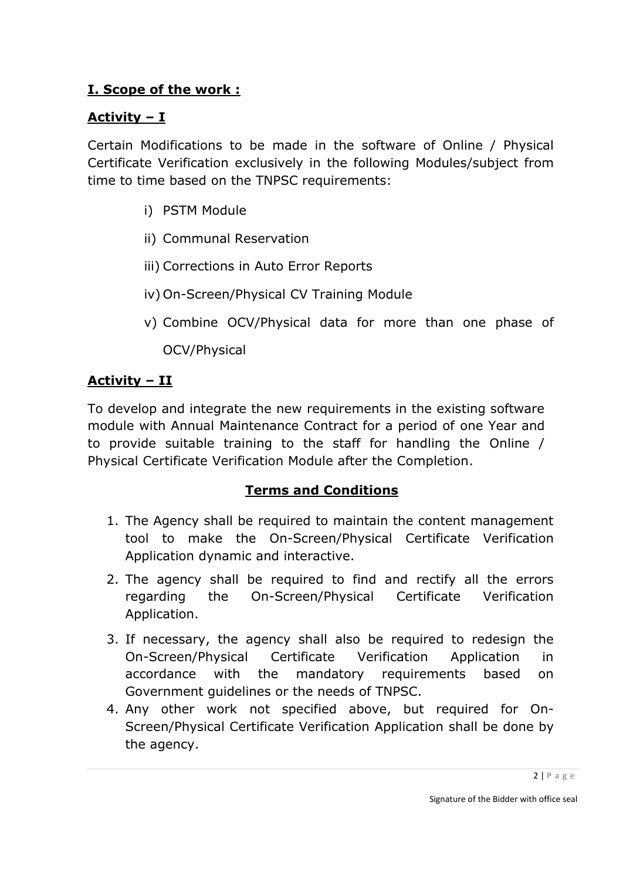## **I. Scope of the work :**

## **Activity – I**

Certain Modifications to be made in the software of Online / Physical Certificate Verification exclusively in the following Modules/subject from time to time based on the TNPSC requirements:

- i) PSTM Module
- ii) Communal Reservation
- iii) Corrections in Auto Error Reports
- iv) On-Screen/Physical CV Training Module
- v) Combine OCV/Physical data for more than one phase of

OCV/Physical

## **Activity – II**

To develop and integrate the new requirements in the existing software module with Annual Maintenance Contract for a period of one Year and to provide suitable training to the staff for handling the Online / Physical Certificate Verification Module after the Completion.

#### **Terms and Conditions**

- 1. The Agency shall be required to maintain the content management tool to make the On-Screen/Physical Certificate Verification Application dynamic and interactive.
- 2. The agency shall be required to find and rectify all the errors regarding the On-Screen/Physical Certificate Verification Application.
- 3. If necessary, the agency shall also be required to redesign the On-Screen/Physical Certificate Verification Application in accordance with the mandatory requirements based on Government guidelines or the needs of TNPSC.
- 4. Any other work not specified above, but required for On-Screen/Physical Certificate Verification Application shall be done by the agency.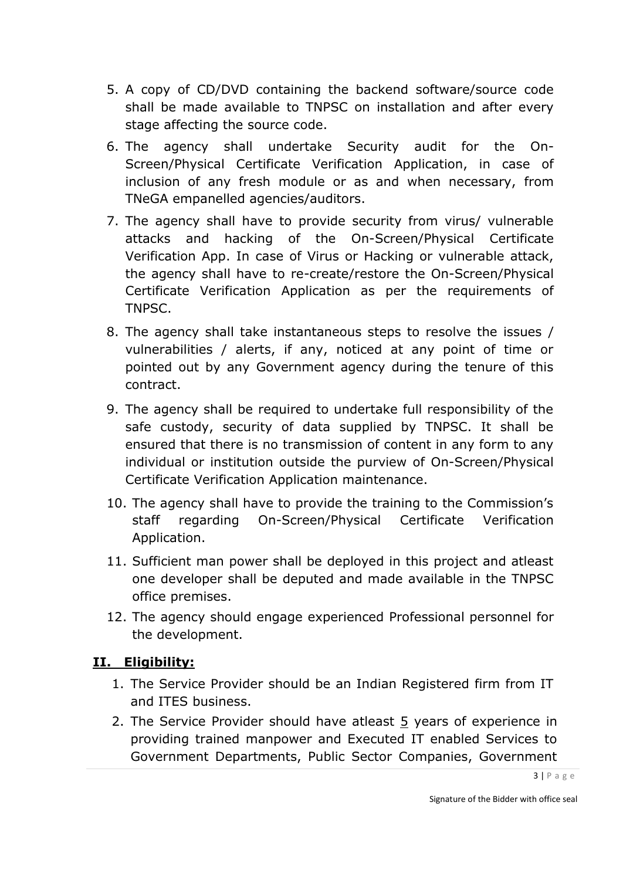- 5. A copy of CD/DVD containing the backend software/source code shall be made available to TNPSC on installation and after every stage affecting the source code.
- 6. The agency shall undertake Security audit for the On-Screen/Physical Certificate Verification Application, in case of inclusion of any fresh module or as and when necessary, from TNeGA empanelled agencies/auditors.
- 7. The agency shall have to provide security from virus/ vulnerable attacks and hacking of the On-Screen/Physical Certificate Verification App. In case of Virus or Hacking or vulnerable attack, the agency shall have to re-create/restore the On-Screen/Physical Certificate Verification Application as per the requirements of TNPSC.
- 8. The agency shall take instantaneous steps to resolve the issues / vulnerabilities / alerts, if any, noticed at any point of time or pointed out by any Government agency during the tenure of this contract.
- 9. The agency shall be required to undertake full responsibility of the safe custody, security of data supplied by TNPSC. It shall be ensured that there is no transmission of content in any form to any individual or institution outside the purview of On-Screen/Physical Certificate Verification Application maintenance.
- 10. The agency shall have to provide the training to the Commission's staff regarding On-Screen/Physical Certificate Verification Application.
- 11. Sufficient man power shall be deployed in this project and atleast one developer shall be deputed and made available in the TNPSC office premises.
- 12. The agency should engage experienced Professional personnel for the development.

## **II. Eligibility:**

- 1. The Service Provider should be an Indian Registered firm from IT and ITES business.
- 2. The Service Provider should have atleast  $5$  years of experience in providing trained manpower and Executed IT enabled Services to Government Departments, Public Sector Companies, Government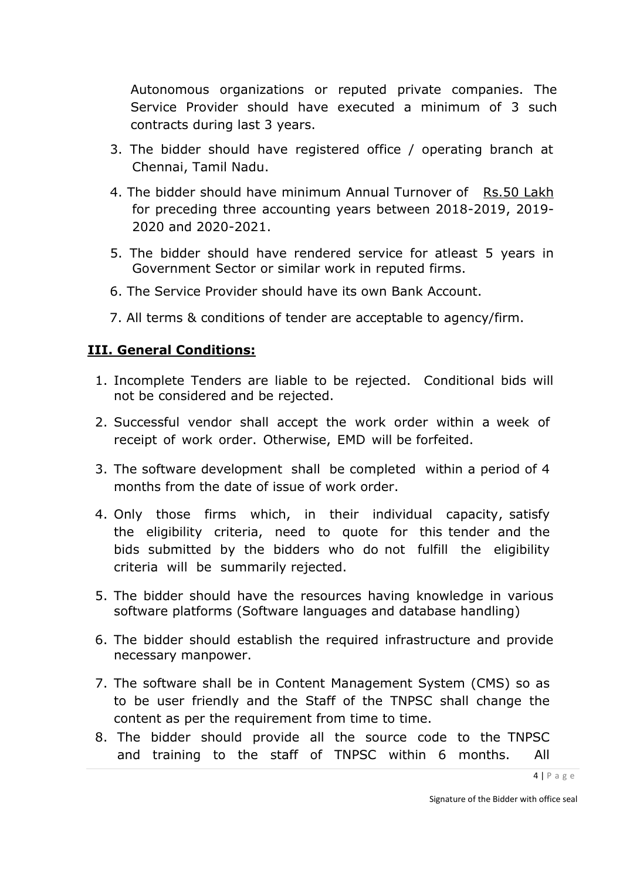Autonomous organizations or reputed private companies. The Service Provider should have executed a minimum of 3 such contracts during last 3 years.

- 3. The bidder should have registered office / operating branch at Chennai, Tamil Nadu.
- 4. The bidder should have minimum Annual Turnover of Rs.50 Lakh for preceding three accounting years between 2018-2019, 2019- 2020 and 2020-2021.
- 5. The bidder should have rendered service for atleast 5 years in Government Sector or similar work in reputed firms.
- 6. The Service Provider should have its own Bank Account.
- 7. All terms & conditions of tender are acceptable to agency/firm.

#### **III. General Conditions:**

- 1. Incomplete Tenders are liable to be rejected. Conditional bids will not be considered and be rejected.
- 2. Successful vendor shall accept the work order within a week of receipt of work order. Otherwise, EMD will be forfeited.
- 3. The software development shall be completed within a period of 4 months from the date of issue of work order.
- 4. Only those firms which, in their individual capacity, satisfy the eligibility criteria, need to quote for this tender and the bids submitted by the bidders who do not fulfill the eligibility criteria will be summarily rejected.
- 5. The bidder should have the resources having knowledge in various software platforms (Software languages and database handling)
- 6. The bidder should establish the required infrastructure and provide necessary manpower.
- 7. The software shall be in Content Management System (CMS) so as to be user friendly and the Staff of the TNPSC shall change the content as per the requirement from time to time.
- 8. The bidder should provide all the source code to the TNPSC and training to the staff of TNPSC within 6 months. All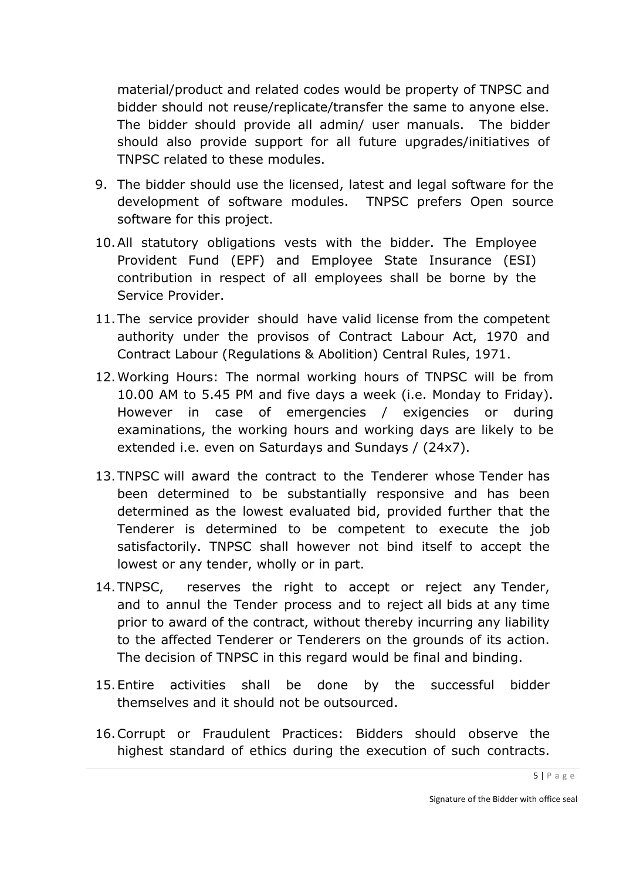material/product and related codes would be property of TNPSC and bidder should not reuse/replicate/transfer the same to anyone else. The bidder should provide all admin/ user manuals. The bidder should also provide support for all future upgrades/initiatives of TNPSC related to these modules.

- 9. The bidder should use the licensed, latest and legal software for the development of software modules. TNPSC prefers Open source software for this project.
- 10.All statutory obligations vests with the bidder. The Employee Provident Fund (EPF) and Employee State Insurance (ESI) contribution in respect of all employees shall be borne by the Service Provider.
- 11.The service provider should have valid license from the competent authority under the provisos of Contract Labour Act, 1970 and Contract Labour (Regulations & Abolition) Central Rules, 1971.
- 12.Working Hours: The normal working hours of TNPSC will be from 10.00 AM to 5.45 PM and five days a week (i.e. Monday to Friday). However in case of emergencies / exigencies or during examinations, the working hours and working days are likely to be extended i.e. even on Saturdays and Sundays / (24x7).
- 13.TNPSC will award the contract to the Tenderer whose Tender has been determined to be substantially responsive and has been determined as the lowest evaluated bid, provided further that the Tenderer is determined to be competent to execute the job satisfactorily. TNPSC shall however not bind itself to accept the lowest or any tender, wholly or in part.
- 14.TNPSC, reserves the right to accept or reject any Tender, and to annul the Tender process and to reject all bids at any time prior to award of the contract, without thereby incurring any liability to the affected Tenderer or Tenderers on the grounds of its action. The decision of TNPSC in this regard would be final and binding.
- 15.Entire activities shall be done by the successful bidder themselves and it should not be outsourced.
- 16.Corrupt or Fraudulent Practices: Bidders should observe the highest standard of ethics during the execution of such contracts.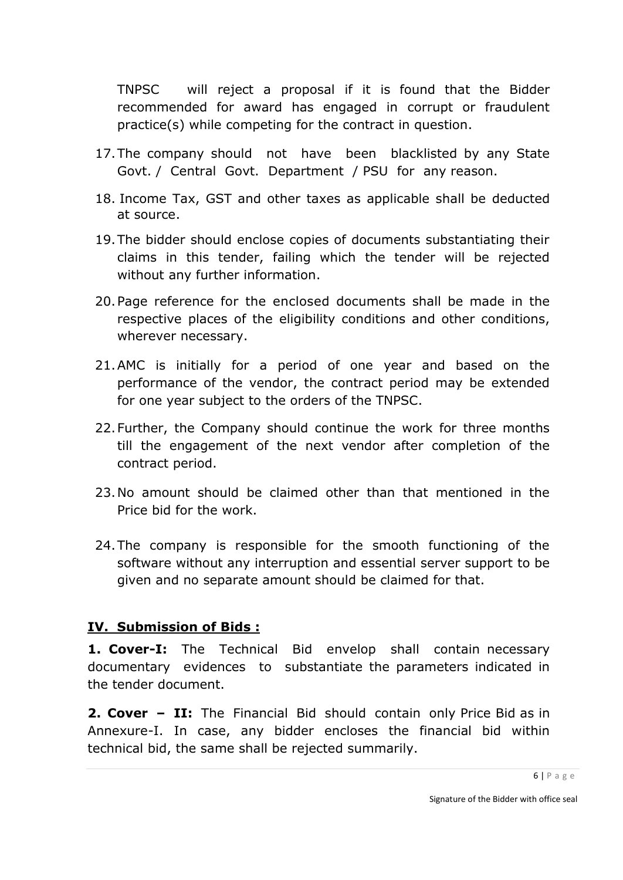TNPSC will reject a proposal if it is found that the Bidder recommended for award has engaged in corrupt or fraudulent practice(s) while competing for the contract in question.

- 17.The company should not have been blacklisted by any State Govt. / Central Govt. Department / PSU for any reason.
- 18. Income Tax, GST and other taxes as applicable shall be deducted at source.
- 19.The bidder should enclose copies of documents substantiating their claims in this tender, failing which the tender will be rejected without any further information.
- 20.Page reference for the enclosed documents shall be made in the respective places of the eligibility conditions and other conditions, wherever necessary.
- 21.AMC is initially for a period of one year and based on the performance of the vendor, the contract period may be extended for one year subject to the orders of the TNPSC.
- 22.Further, the Company should continue the work for three months till the engagement of the next vendor after completion of the contract period.
- 23.No amount should be claimed other than that mentioned in the Price bid for the work.
- 24.The company is responsible for the smooth functioning of the software without any interruption and essential server support to be given and no separate amount should be claimed for that.

#### **IV. Submission of Bids :**

**1. Cover-I:** The Technical Bid envelop shall contain necessary documentary evidences to substantiate the parameters indicated in the tender document.

**2. Cover – II:** The Financial Bid should contain only Price Bid as in Annexure-I. In case, any bidder encloses the financial bid within technical bid, the same shall be rejected summarily.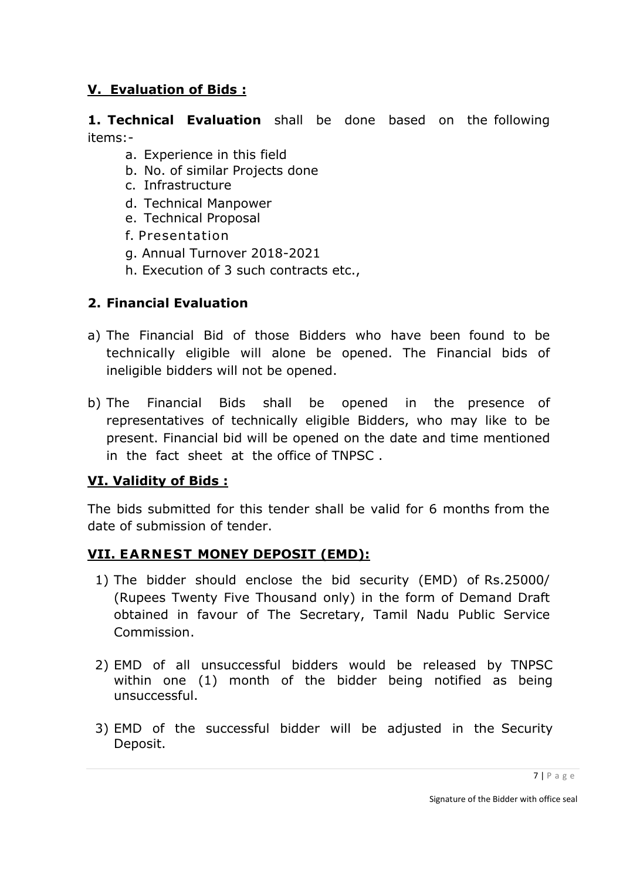### **V. Evaluation of Bids :**

**1. Technical Evaluation** shall be done based on the following items:-

- a. Experience in this field
- b. No. of similar Projects done
- c. Infrastructure
- d. Technical Manpower
- e. Technical Proposal
- f. Presentation
- g. Annual Turnover 2018-2021
- h. Execution of 3 such contracts etc.,

#### **2. Financial Evaluation**

- a) The Financial Bid of those Bidders who have been found to be technically eligible will alone be opened. The Financial bids of ineligible bidders will not be opened.
- b) The Financial Bids shall be opened in the presence of representatives of technically eligible Bidders, who may like to be present. Financial bid will be opened on the date and time mentioned in the fact sheet at the office of TNPSC .

#### **VI. Validity of Bids :**

The bids submitted for this tender shall be valid for 6 months from the date of submission of tender.

#### **VII. EARNEST MONEY DEPOSIT (EMD):**

- 1) The bidder should enclose the bid security (EMD) of Rs.25000/ (Rupees Twenty Five Thousand only) in the form of Demand Draft obtained in favour of The Secretary, Tamil Nadu Public Service Commission.
- 2) EMD of all unsuccessful bidders would be released by TNPSC within one (1) month of the bidder being notified as being unsuccessful.
- 3) EMD of the successful bidder will be adjusted in the Security Deposit.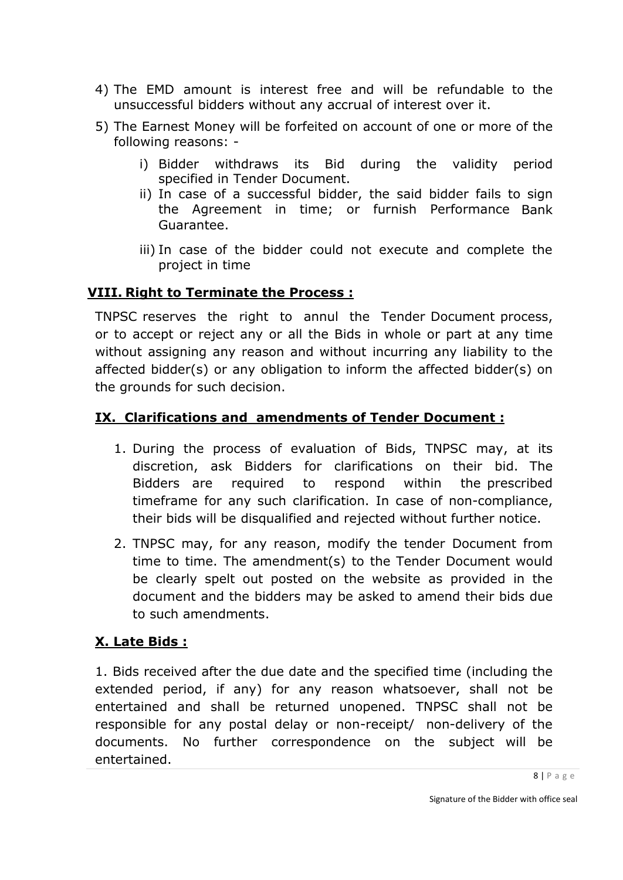- 4) The EMD amount is interest free and will be refundable to the unsuccessful bidders without any accrual of interest over it.
- 5) The Earnest Money will be forfeited on account of one or more of the following reasons:
	- i) Bidder withdraws its Bid during the validity period specified in Tender Document.
	- ii) In case of a successful bidder, the said bidder fails to sign the Agreement in time; or furnish Performance Bank Guarantee.
	- iii) In case of the bidder could not execute and complete the project in time

#### **VIII. Right to Terminate the Process :**

TNPSC reserves the right to annul the Tender Document process, or to accept or reject any or all the Bids in whole or part at any time without assigning any reason and without incurring any liability to the affected bidder(s) or any obligation to inform the affected bidder(s) on the grounds for such decision.

#### **IX. Clarifications and amendments of Tender Document :**

- 1. During the process of evaluation of Bids, TNPSC may, at its discretion, ask Bidders for clarifications on their bid. The Bidders are required to respond within the prescribed timeframe for any such clarification. In case of non-compliance, their bids will be disqualified and rejected without further notice.
- 2. TNPSC may, for any reason, modify the tender Document from time to time. The amendment(s) to the Tender Document would be clearly spelt out posted on the website as provided in the document and the bidders may be asked to amend their bids due to such amendments.

## **X. Late Bids :**

1. Bids received after the due date and the specified time (including the extended period, if any) for any reason whatsoever, shall not be entertained and shall be returned unopened. TNPSC shall not be responsible for any postal delay or non-receipt/ non-delivery of the documents. No further correspondence on the subject will be entertained.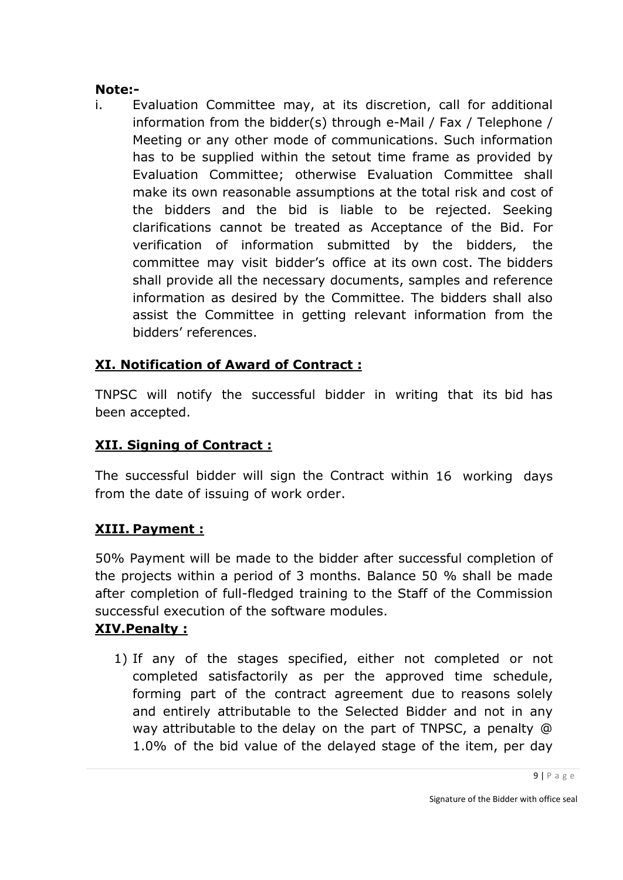#### **Note:-**

i. Evaluation Committee may, at its discretion, call for additional information from the bidder(s) through e-Mail / Fax / Telephone / Meeting or any other mode of communications. Such information has to be supplied within the setout time frame as provided by Evaluation Committee; otherwise Evaluation Committee shall make its own reasonable assumptions at the total risk and cost of the bidders and the bid is liable to be rejected. Seeking clarifications cannot be treated as Acceptance of the Bid. For verification of information submitted by the bidders, the committee may visit bidder's office at its own cost. The bidders shall provide all the necessary documents, samples and reference information as desired by the Committee. The bidders shall also assist the Committee in getting relevant information from the bidders' references.

## **XI. Notification of Award of Contract :**

TNPSC will notify the successful bidder in writing that its bid has been accepted.

## **XII. Signing of Contract :**

The successful bidder will sign the Contract within 16 working days from the date of issuing of work order.

## **XIII. Payment :**

50% Payment will be made to the bidder after successful completion of the projects within a period of 3 months. Balance 50 % shall be made after completion of full-fledged training to the Staff of the Commission successful execution of the software modules.

## **XIV.Penalty :**

1) If any of the stages specified, either not completed or not completed satisfactorily as per the approved time schedule, forming part of the contract agreement due to reasons solely and entirely attributable to the Selected Bidder and not in any way attributable to the delay on the part of TNPSC, a penalty @ 1.0% of the bid value of the delayed stage of the item, per day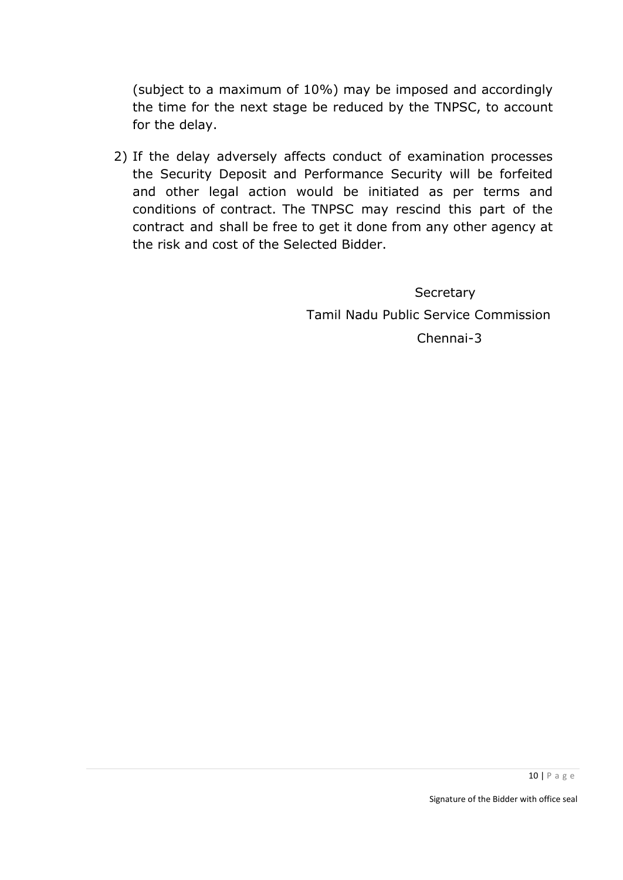(subject to a maximum of 10%) may be imposed and accordingly the time for the next stage be reduced by the TNPSC, to account for the delay.

2) If the delay adversely affects conduct of examination processes the Security Deposit and Performance Security will be forfeited and other legal action would be initiated as per terms and conditions of contract. The TNPSC may rescind this part of the contract and shall be free to get it done from any other agency at the risk and cost of the Selected Bidder.

> **Secretary**  Tamil Nadu Public Service Commission Chennai-3